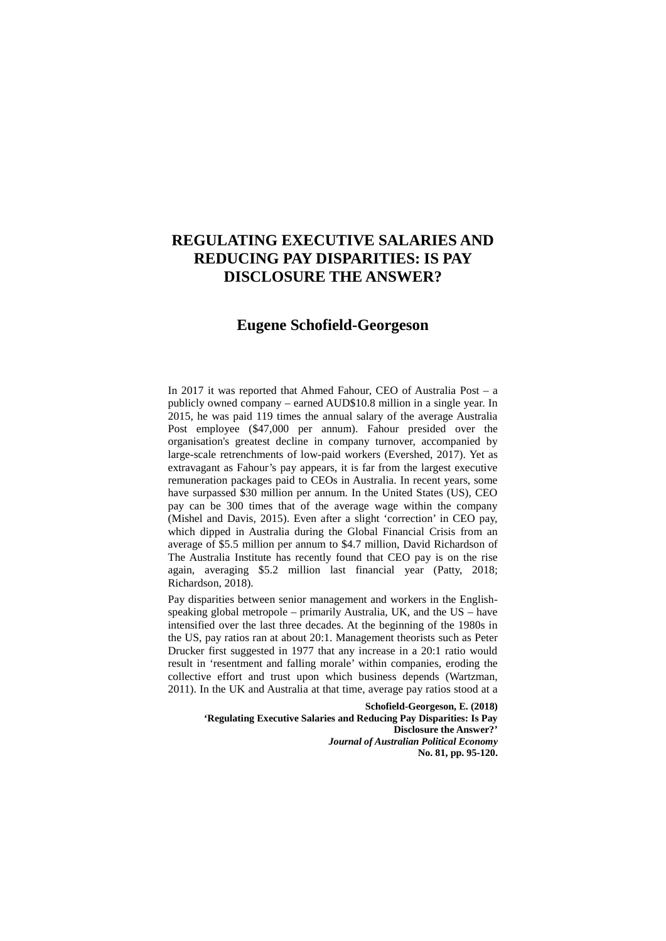# **REGULATING EXECUTIVE SALARIES AND REDUCING PAY DISPARITIES: IS PAY DISCLOSURE THE ANSWER?**

## **Eugene Schofield-Georgeson**

In 2017 it was reported that Ahmed Fahour, CEO of Australia Post – a publicly owned company – earned AUD\$10.8 million in a single year. In 2015, he was paid 119 times the annual salary of the average Australia Post employee (\$47,000 per annum). Fahour presided over the organisation's greatest decline in company turnover, accompanied by large-scale retrenchments of low-paid workers (Evershed, 2017). Yet as extravagant as Fahour's pay appears, it is far from the largest executive remuneration packages paid to CEOs in Australia. In recent years, some have surpassed \$30 million per annum. In the United States (US), CEO pay can be 300 times that of the average wage within the company (Mishel and Davis, 2015). Even after a slight 'correction' in CEO pay, which dipped in Australia during the Global Financial Crisis from an average of \$5.5 million per annum to \$4.7 million, David Richardson of The Australia Institute has recently found that CEO pay is on the rise again, averaging \$5.2 million last financial year (Patty, 2018; Richardson, 2018).

Pay disparities between senior management and workers in the Englishspeaking global metropole – primarily Australia, UK, and the US – have intensified over the last three decades. At the beginning of the 1980s in the US, pay ratios ran at about 20:1. Management theorists such as Peter Drucker first suggested in 1977 that any increase in a 20:1 ratio would result in 'resentment and falling morale' within companies, eroding the collective effort and trust upon which business depends (Wartzman, 2011). In the UK and Australia at that time, average pay ratios stood at a

> **Schofield-Georgeson, E. (2018) 'Regulating Executive Salaries and Reducing Pay Disparities: Is Pay Disclosure the Answer?'** *Journal of Australian Political Economy* **No. 81, pp. 95-120.**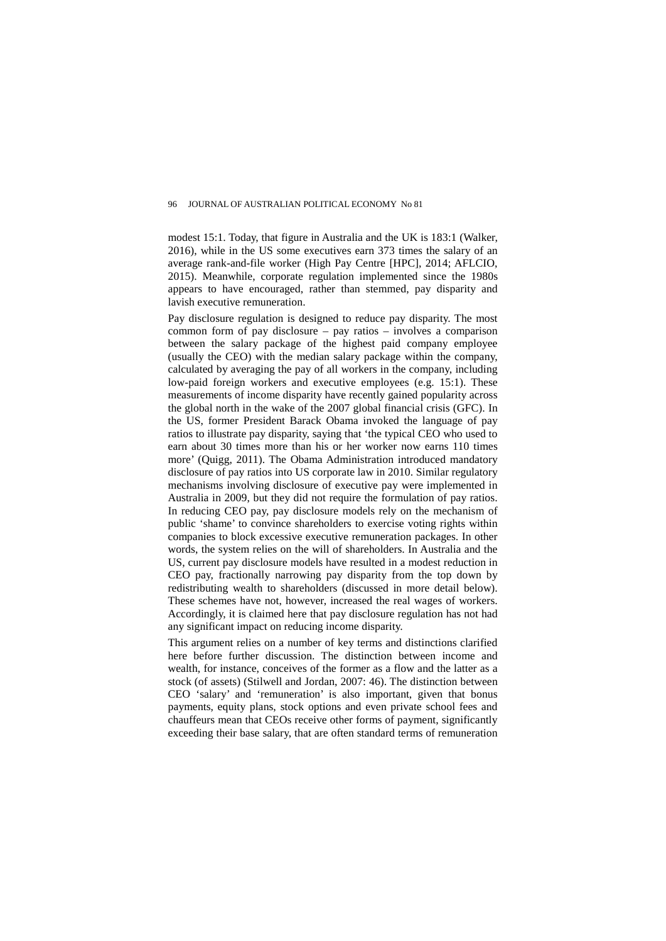modest 15:1. Today, that figure in Australia and the UK is 183:1 (Walker, 2016), while in the US some executives earn 373 times the salary of an average rank-and-file worker (High Pay Centre [HPC], 2014; AFLCIO, 2015). Meanwhile, corporate regulation implemented since the 1980s appears to have encouraged, rather than stemmed, pay disparity and lavish executive remuneration.

Pay disclosure regulation is designed to reduce pay disparity. The most common form of pay disclosure – pay ratios – involves a comparison between the salary package of the highest paid company employee (usually the CEO) with the median salary package within the company, calculated by averaging the pay of all workers in the company, including low-paid foreign workers and executive employees (e.g. 15:1). These measurements of income disparity have recently gained popularity across the global north in the wake of the 2007 global financial crisis (GFC). In the US, former President Barack Obama invoked the language of pay ratios to illustrate pay disparity, saying that 'the typical CEO who used to earn about 30 times more than his or her worker now earns 110 times more' (Quigg, 2011). The Obama Administration introduced mandatory disclosure of pay ratios into US corporate law in 2010. Similar regulatory mechanisms involving disclosure of executive pay were implemented in Australia in 2009, but they did not require the formulation of pay ratios. In reducing CEO pay, pay disclosure models rely on the mechanism of public 'shame' to convince shareholders to exercise voting rights within companies to block excessive executive remuneration packages. In other words, the system relies on the will of shareholders. In Australia and the US, current pay disclosure models have resulted in a modest reduction in CEO pay, fractionally narrowing pay disparity from the top down by redistributing wealth to shareholders (discussed in more detail below). These schemes have not, however, increased the real wages of workers. Accordingly, it is claimed here that pay disclosure regulation has not had any significant impact on reducing income disparity.

This argument relies on a number of key terms and distinctions clarified here before further discussion. The distinction between income and wealth, for instance, conceives of the former as a flow and the latter as a stock (of assets) (Stilwell and Jordan, 2007: 46). The distinction between CEO 'salary' and 'remuneration' is also important, given that bonus payments, equity plans, stock options and even private school fees and chauffeurs mean that CEOs receive other forms of payment, significantly exceeding their base salary, that are often standard terms of remuneration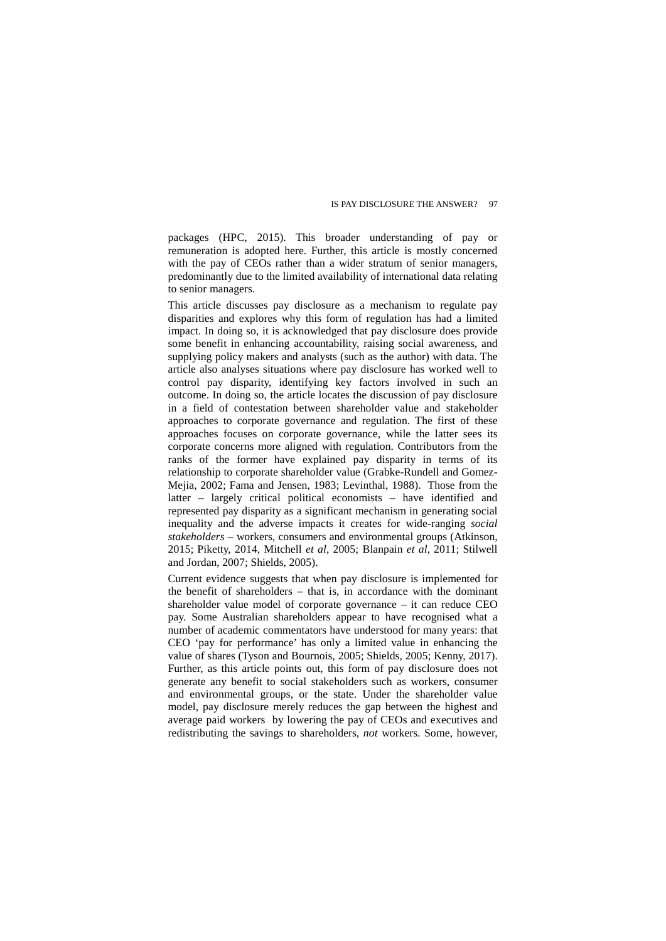packages (HPC, 2015). This broader understanding of pay or remuneration is adopted here. Further, this article is mostly concerned with the pay of CEOs rather than a wider stratum of senior managers, predominantly due to the limited availability of international data relating to senior managers.

This article discusses pay disclosure as a mechanism to regulate pay disparities and explores why this form of regulation has had a limited impact. In doing so, it is acknowledged that pay disclosure does provide some benefit in enhancing accountability, raising social awareness, and supplying policy makers and analysts (such as the author) with data. The article also analyses situations where pay disclosure has worked well to control pay disparity, identifying key factors involved in such an outcome. In doing so, the article locates the discussion of pay disclosure in a field of contestation between shareholder value and stakeholder approaches to corporate governance and regulation. The first of these approaches focuses on corporate governance, while the latter sees its corporate concerns more aligned with regulation. Contributors from the ranks of the former have explained pay disparity in terms of its relationship to corporate shareholder value (Grabke-Rundell and Gomez-Mejia, 2002; Fama and Jensen, 1983; Levinthal, 1988). Those from the latter – largely critical political economists – have identified and represented pay disparity as a significant mechanism in generating social inequality and the adverse impacts it creates for wide-ranging *social stakeholders* – workers, consumers and environmental groups (Atkinson, 2015; Piketty, 2014, Mitchell *et al*, 2005; Blanpain *et al*, 2011; Stilwell and Jordan, 2007; Shields, 2005).

Current evidence suggests that when pay disclosure is implemented for the benefit of shareholders – that is, in accordance with the dominant shareholder value model of corporate governance – it can reduce CEO pay. Some Australian shareholders appear to have recognised what a number of academic commentators have understood for many years: that CEO 'pay for performance' has only a limited value in enhancing the value of shares (Tyson and Bournois, 2005; Shields, 2005; Kenny, 2017). Further, as this article points out, this form of pay disclosure does not generate any benefit to social stakeholders such as workers, consumer and environmental groups, or the state. Under the shareholder value model, pay disclosure merely reduces the gap between the highest and average paid workers by lowering the pay of CEOs and executives and redistributing the savings to shareholders, *not* workers. Some, however,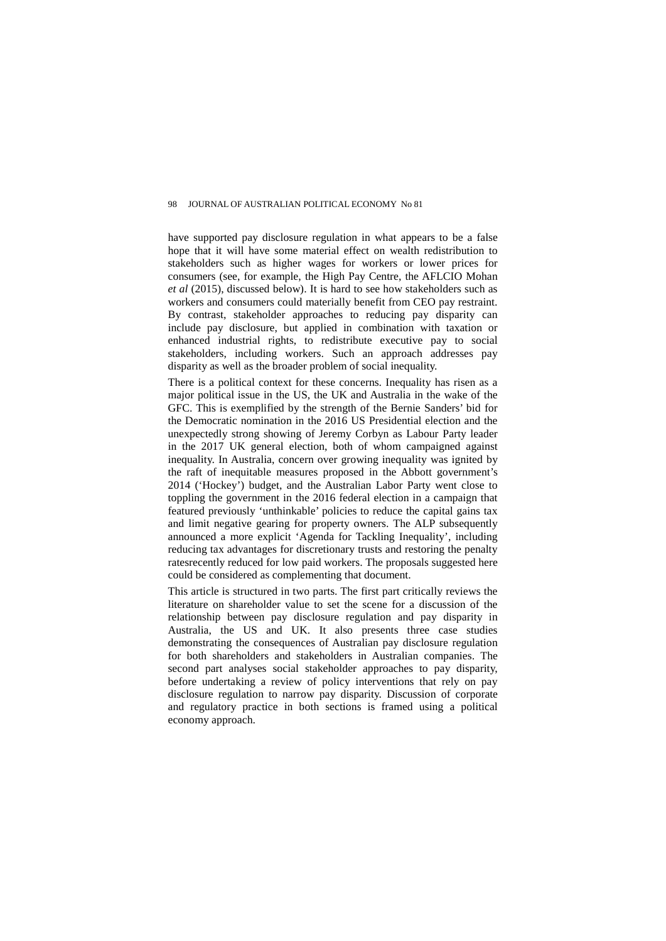have supported pay disclosure regulation in what appears to be a false hope that it will have some material effect on wealth redistribution to stakeholders such as higher wages for workers or lower prices for consumers (see, for example, the High Pay Centre, the AFLCIO Mohan *et al* (2015), discussed below). It is hard to see how stakeholders such as workers and consumers could materially benefit from CEO pay restraint. By contrast, stakeholder approaches to reducing pay disparity can include pay disclosure, but applied in combination with taxation or enhanced industrial rights, to redistribute executive pay to social stakeholders, including workers. Such an approach addresses pay disparity as well as the broader problem of social inequality.

There is a political context for these concerns. Inequality has risen as a major political issue in the US, the UK and Australia in the wake of the GFC. This is exemplified by the strength of the Bernie Sanders' bid for the Democratic nomination in the 2016 US Presidential election and the unexpectedly strong showing of Jeremy Corbyn as Labour Party leader in the 2017 UK general election, both of whom campaigned against inequality. In Australia, concern over growing inequality was ignited by the raft of inequitable measures proposed in the Abbott government's 2014 ('Hockey') budget, and the Australian Labor Party went close to toppling the government in the 2016 federal election in a campaign that featured previously 'unthinkable' policies to reduce the capital gains tax and limit negative gearing for property owners. The ALP subsequently announced a more explicit 'Agenda for Tackling Inequality', including reducing tax advantages for discretionary trusts and restoring the penalty ratesrecently reduced for low paid workers. The proposals suggested here could be considered as complementing that document.

This article is structured in two parts. The first part critically reviews the literature on shareholder value to set the scene for a discussion of the relationship between pay disclosure regulation and pay disparity in Australia, the US and UK. It also presents three case studies demonstrating the consequences of Australian pay disclosure regulation for both shareholders and stakeholders in Australian companies. The second part analyses social stakeholder approaches to pay disparity, before undertaking a review of policy interventions that rely on pay disclosure regulation to narrow pay disparity. Discussion of corporate and regulatory practice in both sections is framed using a political economy approach.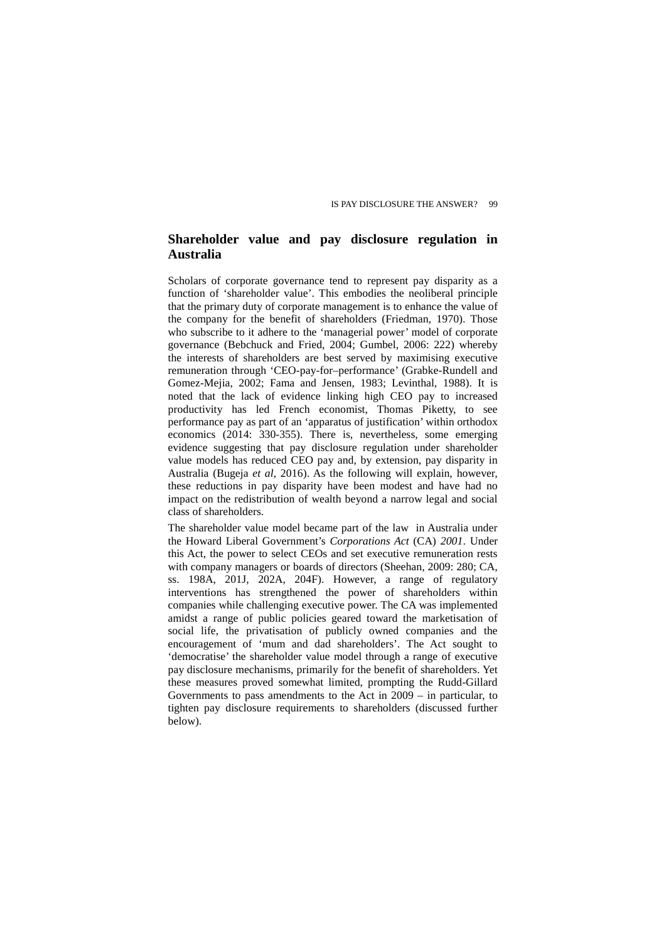## **Shareholder value and pay disclosure regulation in Australia**

Scholars of corporate governance tend to represent pay disparity as a function of 'shareholder value'. This embodies the neoliberal principle that the primary duty of corporate management is to enhance the value of the company for the benefit of shareholders (Friedman, 1970). Those who subscribe to it adhere to the 'managerial power' model of corporate governance (Bebchuck and Fried, 2004; Gumbel, 2006: 222) whereby the interests of shareholders are best served by maximising executive remuneration through 'CEO-pay-for–performance' (Grabke-Rundell and Gomez-Mejia, 2002; Fama and Jensen, 1983; Levinthal, 1988). It is noted that the lack of evidence linking high CEO pay to increased productivity has led French economist, Thomas Piketty, to performance pay as part of an 'apparatus of justification' within orthodox economics (2014: 330-355). There is, nevertheless, some emerging evidence suggesting that pay disclosure regulation under shareholder value models has reduced CEO pay and, by extension, pay disparity in Australia (Bugeja *et al*, 2016). As the following will explain, however, these reductions in pay disparity have been modest and have had no impact on the redistribution of wealth beyond a narrow legal and social class of shareholders.

The shareholder value model became part of the law in Australia under the Howard Liberal Government's *Corporations Act* (CA) *2001*. Under this Act, the power to select CEOs and set executive remuneration rests with company managers or boards of directors (Sheehan, 2009: 280; CA, ss. 198A, 201J, 202A, 204F). However, a range of regulatory interventions has strengthened the power of shareholders within companies while challenging executive power. The CA was implemented amidst a range of public policies geared toward the marketisation of social life, the privatisation of publicly owned companies and the encouragement of 'mum and dad shareholders'. The Act sought to 'democratise' the shareholder value model through a range of executive pay disclosure mechanisms, primarily for the benefit of shareholders. Yet these measures proved somewhat limited, prompting the Rudd-Gillard Governments to pass amendments to the Act in 2009 – in particular, to tighten pay disclosure requirements to shareholders (discussed further below).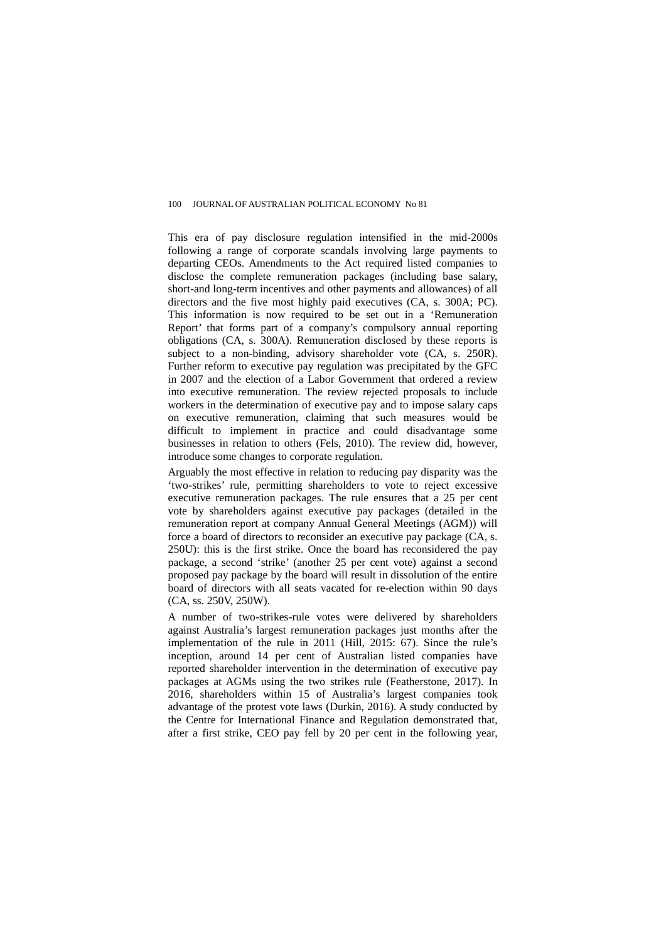This era of pay disclosure regulation intensified in the mid-2000s following a range of corporate scandals involving large payments to departing CEOs. Amendments to the Act required listed companies to disclose the complete remuneration packages (including base salary, short-and long-term incentives and other payments and allowances) of all directors and the five most highly paid executives (CA, s. 300A; PC). This information is now required to be set out in a 'Remuneration Report' that forms part of a company's compulsory annual reporting obligations (CA, s. 300A). Remuneration disclosed by these reports is subject to a non-binding, advisory shareholder vote (CA, s. 250R). Further reform to executive pay regulation was precipitated by the GFC in 2007 and the election of a Labor Government that ordered a review into executive remuneration. The review rejected proposals to include workers in the determination of executive pay and to impose salary caps on executive remuneration, claiming that such measures would be difficult to implement in practice and could disadvantage some businesses in relation to others (Fels, 2010). The review did, however, introduce some changes to corporate regulation.

Arguably the most effective in relation to reducing pay disparity was the 'two-strikes' rule, permitting shareholders to vote to reject excessive executive remuneration packages. The rule ensures that a 25 per cent vote by shareholders against executive pay packages (detailed in the remuneration report at company Annual General Meetings (AGM)) will force a board of directors to reconsider an executive pay package (CA, s. 250U): this is the first strike. Once the board has reconsidered the pay package, a second 'strike' (another 25 per cent vote) against a second proposed pay package by the board will result in dissolution of the entire board of directors with all seats vacated for re-election within 90 days (CA, ss. 250V, 250W).

A number of two-strikes-rule votes were delivered by shareholders against Australia's largest remuneration packages just months after the implementation of the rule in 2011 (Hill, 2015: 67). Since the rule's inception, around 14 per cent of Australian listed companies have reported shareholder intervention in the determination of executive pay packages at AGMs using the two strikes rule (Featherstone, 2017). In 2016, shareholders within 15 of Australia's largest companies took advantage of the protest vote laws (Durkin, 2016). A study conducted by the Centre for International Finance and Regulation demonstrated that, after a first strike, CEO pay fell by 20 per cent in the following year,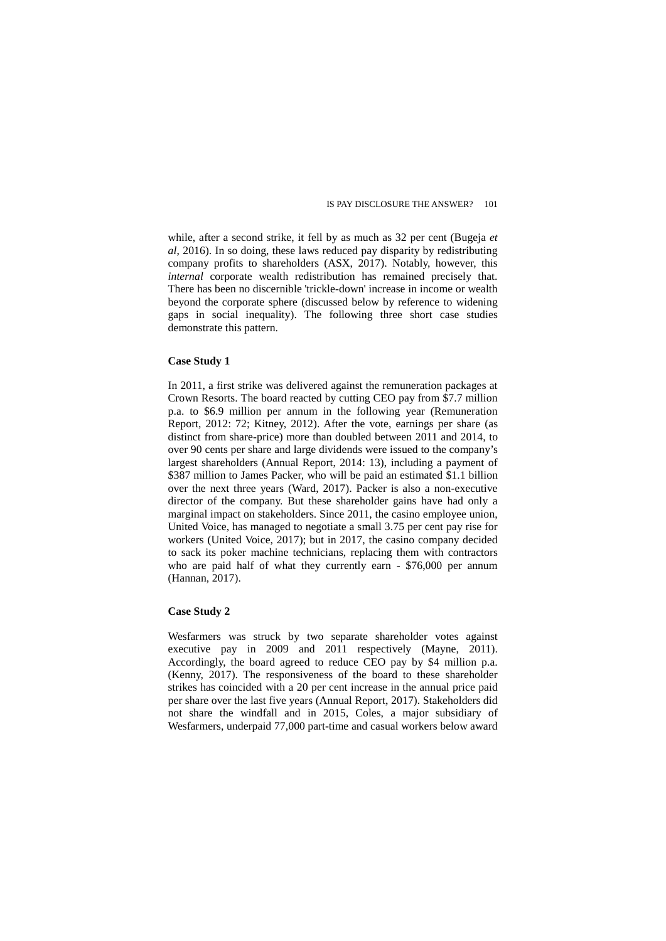while, after a second strike, it fell by as much as 32 per cent (Bugeja *et al*, 2016). In so doing, these laws reduced pay disparity by redistributing company profits to shareholders (ASX, 2017). Notably, however, this *internal* corporate wealth redistribution has remained precisely that. There has been no discernible 'trickle-down' increase in income or wealth beyond the corporate sphere (discussed below by reference to widening gaps in social inequality). The following three short case studies demonstrate this pattern.

### **Case Study 1**

In 2011, a first strike was delivered against the remuneration packages at Crown Resorts. The board reacted by cutting CEO pay from \$7.7 million p.a. to \$6.9 million per annum in the following year (Remuneration Report, 2012: 72; Kitney, 2012). After the vote, earnings per share (as distinct from share-price) more than doubled between 2011 and 2014, to over 90 cents per share and large dividends were issued to the company's largest shareholders (Annual Report, 2014: 13), including a payment of \$387 million to James Packer, who will be paid an estimated \$1.1 billion over the next three years (Ward, 2017). Packer is also a non-executive director of the company. But these shareholder gains have had only a marginal impact on stakeholders. Since 2011, the casino employee union, United Voice, has managed to negotiate a small 3.75 per cent pay rise for workers (United Voice, 2017); but in 2017, the casino company decided to sack its poker machine technicians, replacing them with contractors who are paid half of what they currently earn - \$76,000 per annum (Hannan, 2017).

#### **Case Study 2**

Wesfarmers was struck by two separate shareholder votes against executive pay in 2009 and 2011 respectively (Mayne, 2011). Accordingly, the board agreed to reduce CEO pay by \$4 million p.a. (Kenny, 2017). The responsiveness of the board to these shareholder strikes has coincided with a 20 per cent increase in the annual price paid per share over the last five years (Annual Report, 2017). Stakeholders did not share the windfall and in 2015, Coles, a major subsidiary of Wesfarmers, underpaid 77,000 part-time and casual workers below award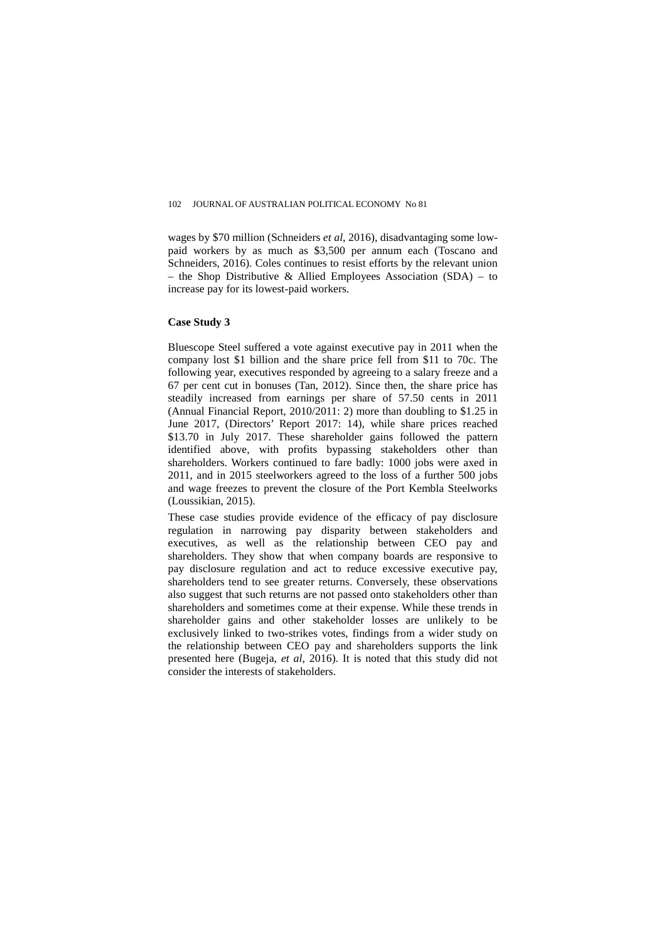wages by \$70 million (Schneiders *et al*, 2016), disadvantaging some lowpaid workers by as much as \$3,500 per annum each (Toscano and Schneiders, 2016). Coles continues to resist efforts by the relevant union – the Shop Distributive & Allied Employees Association  $(SDA)$  – to increase pay for its lowest-paid workers.

### **Case Study 3**

Bluescope Steel suffered a vote against executive pay in 2011 when the company lost \$1 billion and the share price fell from \$11 to 70c. The following year, executives responded by agreeing to a salary freeze and a 67 per cent cut in bonuses (Tan, 2012). Since then, the share price has steadily increased from earnings per share of 57.50 cents in 2011 (Annual Financial Report, 2010/2011: 2) more than doubling to \$1.25 in June 2017, (Directors' Report 2017: 14), while share prices reached \$13.70 in July 2017. These shareholder gains followed the pattern identified above, with profits bypassing stakeholders other than shareholders. Workers continued to fare badly: 1000 jobs were axed in 2011, and in 2015 steelworkers agreed to the loss of a further 500 jobs and wage freezes to prevent the closure of the Port Kembla Steelworks (Loussikian, 2015).

These case studies provide evidence of the efficacy of pay disclosure regulation in narrowing pay disparity between stakeholders and executives, as well as the relationship between CEO pay and shareholders. They show that when company boards are responsive to pay disclosure regulation and act to reduce excessive executive pay, shareholders tend to see greater returns. Conversely, these observations also suggest that such returns are not passed onto stakeholders other than shareholders and sometimes come at their expense. While these trends in shareholder gains and other stakeholder losses are unlikely to be exclusively linked to two-strikes votes, findings from a wider study on the relationship between CEO pay and shareholders supports the link presented here (Bugeja, *et al*, 2016). It is noted that this study did not consider the interests of stakeholders.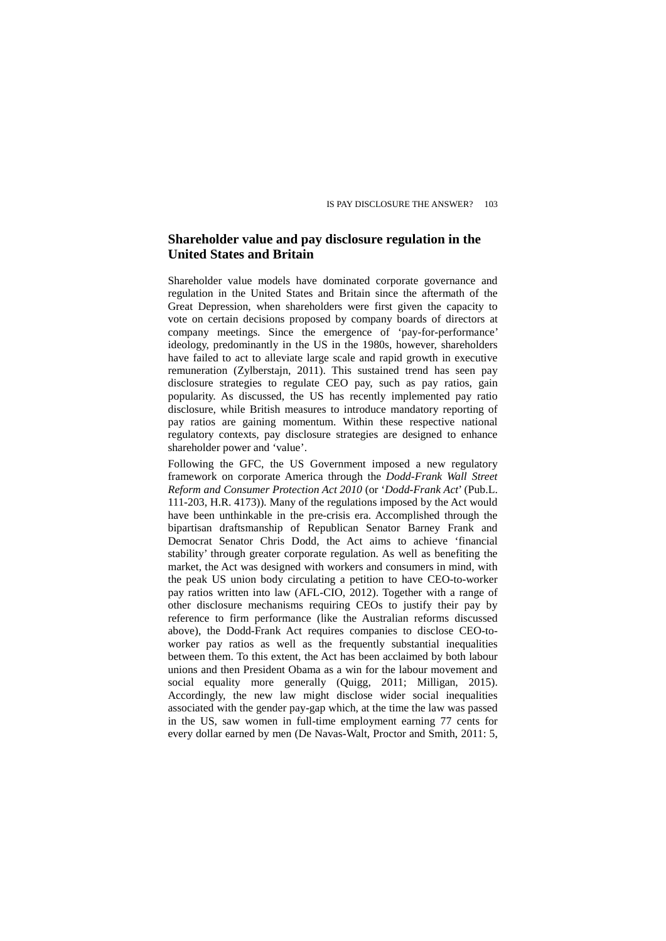## **Shareholder value and pay disclosure regulation in the United States and Britain**

Shareholder value models have dominated corporate governance and regulation in the United States and Britain since the aftermath of the Great Depression, when shareholders were first given the capacity to vote on certain decisions proposed by company boards of directors at company meetings. Since the emergence of 'pay-for-performance' ideology, predominantly in the US in the 1980s, however, shareholders have failed to act to alleviate large scale and rapid growth in executive remuneration (Zylberstajn, 2011). This sustained trend has seen pay disclosure strategies to regulate CEO pay, such as pay ratios, gain popularity. As discussed, the US has recently implemented pay ratio disclosure, while British measures to introduce mandatory reporting of pay ratios are gaining momentum. Within these respective national regulatory contexts, pay disclosure strategies are designed to enhance shareholder power and 'value'.

Following the GFC, the US Government imposed a new regulatory framework on corporate America through the *Dodd-Frank Wall Street Reform and Consumer Protection Act 2010* (or '*Dodd-Frank Act*' (Pub.L. 111-203, H.R. 4173))*.* Many of the regulations imposed by the Act would have been unthinkable in the pre-crisis era. Accomplished through the bipartisan draftsmanship of Republican Senator Barney Frank and Democrat Senator Chris Dodd, the Act aims to achieve 'financial stability' through greater corporate regulation. As well as benefiting the market, the Act was designed with workers and consumers in mind, with the peak US union body circulating a petition to have CEO-to-worker pay ratios written into law (AFL-CIO, 2012). Together with a range of other disclosure mechanisms requiring CEOs to justify their pay by reference to firm performance (like the Australian reforms discussed above), the Dodd-Frank Act requires companies to disclose CEO-toworker pay ratios as well as the frequently substantial inequalities between them. To this extent, the Act has been acclaimed by both labour unions and then President Obama as a win for the labour movement and social equality more generally (Quigg, 2011; Milligan, 2015). Accordingly, the new law might disclose wider social inequalities associated with the gender pay-gap which, at the time the law was passed in the US, saw women in full-time employment earning 77 cents for every dollar earned by men (De Navas-Walt, Proctor and Smith, 2011: 5,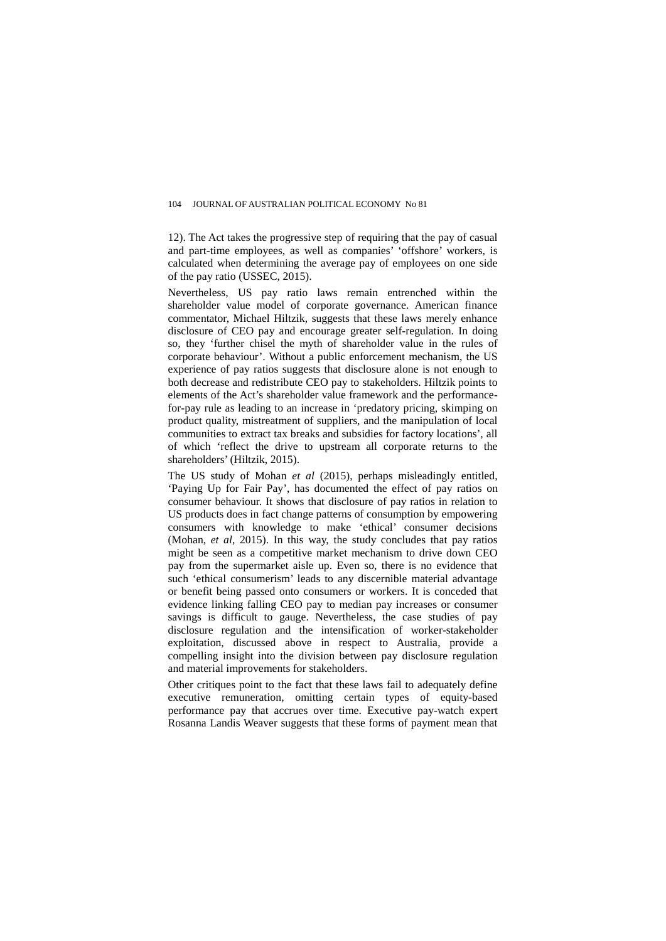12). The Act takes the progressive step of requiring that the pay of casual and part-time employees, as well as companies' 'offshore' workers, is calculated when determining the average pay of employees on one side of the pay ratio (USSEC, 2015).

Nevertheless, US pay ratio laws remain entrenched within the shareholder value model of corporate governance. American finance commentator, Michael Hiltzik, suggests that these laws merely enhance disclosure of CEO pay and encourage greater self-regulation. In doing so, they 'further chisel the myth of shareholder value in the rules of corporate behaviour'. Without a public enforcement mechanism, the US experience of pay ratios suggests that disclosure alone is not enough to both decrease and redistribute CEO pay to stakeholders. Hiltzik points to elements of the Act's shareholder value framework and the performancefor-pay rule as leading to an increase in 'predatory pricing, skimping on product quality, mistreatment of suppliers, and the manipulation of local communities to extract tax breaks and subsidies for factory locations', all of which 'reflect the drive to upstream all corporate returns to the shareholders' (Hiltzik, 2015).

The US study of Mohan *et al* (2015), perhaps misleadingly entitled, 'Paying Up for Fair Pay', has documented the effect of pay ratios on consumer behaviour. It shows that disclosure of pay ratios in relation to US products does in fact change patterns of consumption by empowering consumers with knowledge to make 'ethical' consumer decisions (Mohan, *et al*, 2015). In this way, the study concludes that pay ratios might be seen as a competitive market mechanism to drive down CEO pay from the supermarket aisle up. Even so, there is no evidence that such 'ethical consumerism' leads to any discernible material advantage or benefit being passed onto consumers or workers. It is conceded that evidence linking falling CEO pay to median pay increases or consumer savings is difficult to gauge. Nevertheless, the case studies of pay disclosure regulation and the intensification of worker-stakeholder exploitation, discussed above in respect to Australia, provide a compelling insight into the division between pay disclosure regulation and material improvements for stakeholders.

Other critiques point to the fact that these laws fail to adequately define executive remuneration, omitting certain types of equity-based performance pay that accrues over time. Executive pay-watch expert Rosanna Landis Weaver suggests that these forms of payment mean that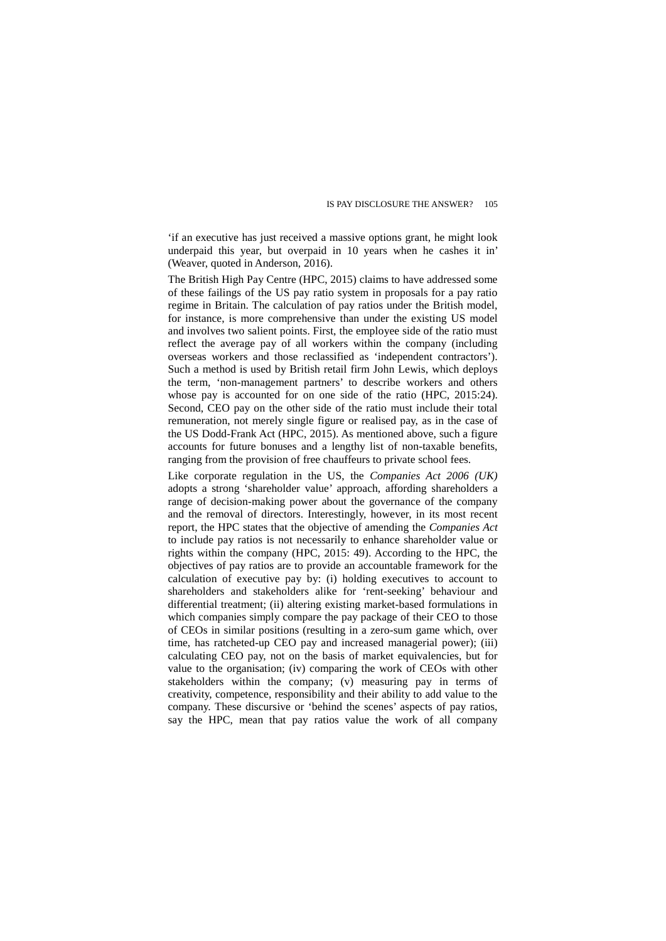'if an executive has just received a massive options grant, he might look underpaid this year, but overpaid in 10 years when he cashes it in' (Weaver, quoted in Anderson, 2016).

The British High Pay Centre (HPC, 2015) claims to have addressed some of these failings of the US pay ratio system in proposals for a pay ratio regime in Britain. The calculation of pay ratios under the British model, for instance, is more comprehensive than under the existing US model and involves two salient points. First, the employee side of the ratio must reflect the average pay of all workers within the company (including overseas workers and those reclassified as 'independent contractors'). Such a method is used by British retail firm John Lewis, which deploys the term, 'non-management partners' to describe workers and others whose pay is accounted for on one side of the ratio (HPC, 2015:24). Second, CEO pay on the other side of the ratio must include their total remuneration, not merely single figure or realised pay, as in the case of the US Dodd-Frank Act (HPC, 2015). As mentioned above, such a figure accounts for future bonuses and a lengthy list of non-taxable benefits, ranging from the provision of free chauffeurs to private school fees.

Like corporate regulation in the US, the *Companies Act 2006 (UK)*  adopts a strong 'shareholder value' approach, affording shareholders a range of decision-making power about the governance of the company and the removal of directors. Interestingly, however, in its most recent report, the HPC states that the objective of amending the *Companies Act*  to include pay ratios is not necessarily to enhance shareholder value or rights within the company (HPC, 2015: 49). According to the HPC, the objectives of pay ratios are to provide an accountable framework for the calculation of executive pay by: (i) holding executives to account to shareholders and stakeholders alike for 'rent-seeking' behaviour and differential treatment; (ii) altering existing market-based formulations in which companies simply compare the pay package of their CEO to those of CEOs in similar positions (resulting in a zero-sum game which, over time, has ratcheted-up CEO pay and increased managerial power); (iii) calculating CEO pay, not on the basis of market equivalencies, but for value to the organisation; (iv) comparing the work of CEOs with other stakeholders within the company; (v) measuring pay in terms of creativity, competence, responsibility and their ability to add value to the company. These discursive or 'behind the scenes' aspects of pay ratios, say the HPC, mean that pay ratios value the work of all company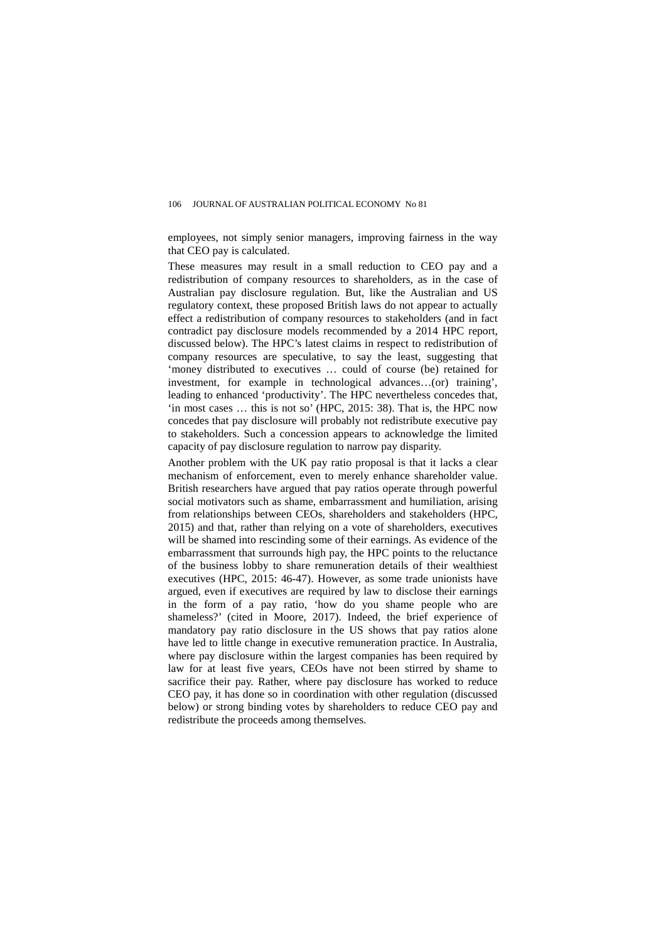employees, not simply senior managers, improving fairness in the way that CEO pay is calculated.

These measures may result in a small reduction to CEO pay and a redistribution of company resources to shareholders, as in the case of Australian pay disclosure regulation. But, like the Australian and US regulatory context, these proposed British laws do not appear to actually effect a redistribution of company resources to stakeholders (and in fact contradict pay disclosure models recommended by a 2014 HPC report, discussed below). The HPC's latest claims in respect to redistribution of company resources are speculative, to say the least, suggesting that 'money distributed to executives … could of course (be) retained for investment, for example in technological advances…(or) training', leading to enhanced 'productivity'. The HPC nevertheless concedes that, 'in most cases … this is not so' (HPC, 2015: 38). That is, the HPC now concedes that pay disclosure will probably not redistribute executive pay to stakeholders. Such a concession appears to acknowledge the limited capacity of pay disclosure regulation to narrow pay disparity.

Another problem with the UK pay ratio proposal is that it lacks a clear mechanism of enforcement, even to merely enhance shareholder value. British researchers have argued that pay ratios operate through powerful social motivators such as shame, embarrassment and humiliation, arising from relationships between CEOs, shareholders and stakeholders (HPC, 2015) and that, rather than relying on a vote of shareholders, executives will be shamed into rescinding some of their earnings. As evidence of the embarrassment that surrounds high pay, the HPC points to the reluctance of the business lobby to share remuneration details of their wealthiest executives (HPC, 2015: 46-47). However, as some trade unionists have argued, even if executives are required by law to disclose their earnings in the form of a pay ratio, 'how do you shame people who are shameless?' (cited in Moore, 2017). Indeed, the brief experience of mandatory pay ratio disclosure in the US shows that pay ratios alone have led to little change in executive remuneration practice. In Australia, where pay disclosure within the largest companies has been required by law for at least five years, CEOs have not been stirred by shame to sacrifice their pay. Rather, where pay disclosure has worked to reduce CEO pay, it has done so in coordination with other regulation (discussed below) or strong binding votes by shareholders to reduce CEO pay and redistribute the proceeds among themselves.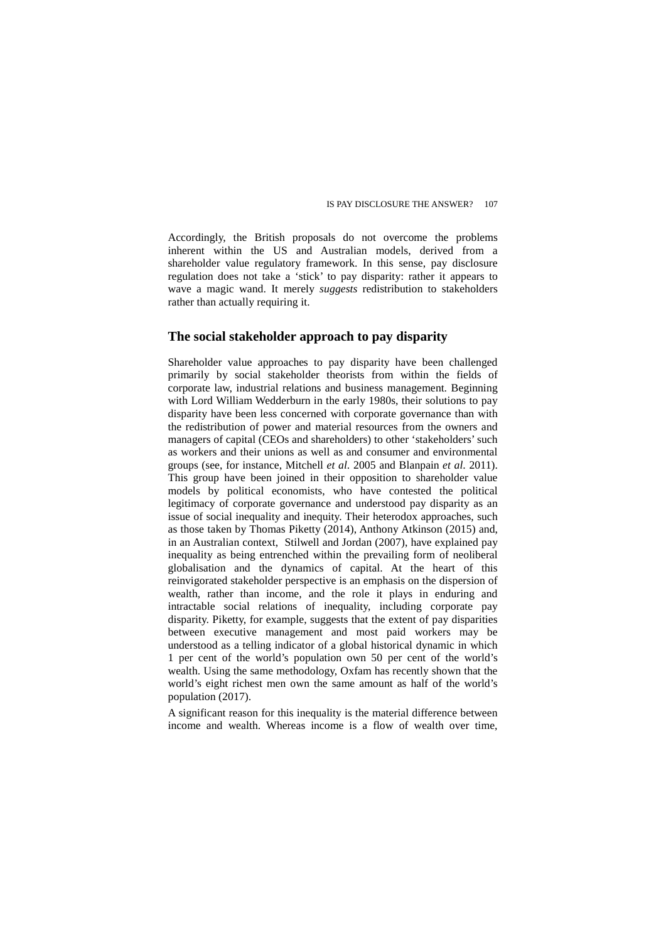Accordingly, the British proposals do not overcome the problems inherent within the US and Australian models, derived from a shareholder value regulatory framework. In this sense, pay disclosure regulation does not take a 'stick' to pay disparity: rather it appears to wave a magic wand. It merely *suggests* redistribution to stakeholders rather than actually requiring it.

### **The social stakeholder approach to pay disparity**

Shareholder value approaches to pay disparity have been challenged primarily by social stakeholder theorists from within the fields of corporate law, industrial relations and business management. Beginning with Lord William Wedderburn in the early 1980s, their solutions to pay disparity have been less concerned with corporate governance than with the redistribution of power and material resources from the owners and managers of capital (CEOs and shareholders) to other 'stakeholders' such as workers and their unions as well as and consumer and environmental groups (see, for instance, Mitchell *et al*. 2005 and Blanpain *et al*. 2011). This group have been joined in their opposition to shareholder value models by political economists, who have contested the political legitimacy of corporate governance and understood pay disparity as an issue of social inequality and inequity. Their heterodox approaches, such as those taken by Thomas Piketty (2014), Anthony Atkinson (2015) and, in an Australian context, Stilwell and Jordan (2007), have explained pay inequality as being entrenched within the prevailing form of neoliberal globalisation and the dynamics of capital. At the heart of this reinvigorated stakeholder perspective is an emphasis on the dispersion of wealth, rather than income, and the role it plays in enduring and intractable social relations of inequality, including corporate pay disparity. Piketty, for example, suggests that the extent of pay disparities between executive management and most paid workers may be understood as a telling indicator of a global historical dynamic in which 1 per cent of the world's population own 50 per cent of the world's wealth. Using the same methodology, Oxfam has recently shown that the world's eight richest men own the same amount as half of the world's population (2017).

A significant reason for this inequality is the material difference between income and wealth. Whereas income is a flow of wealth over time,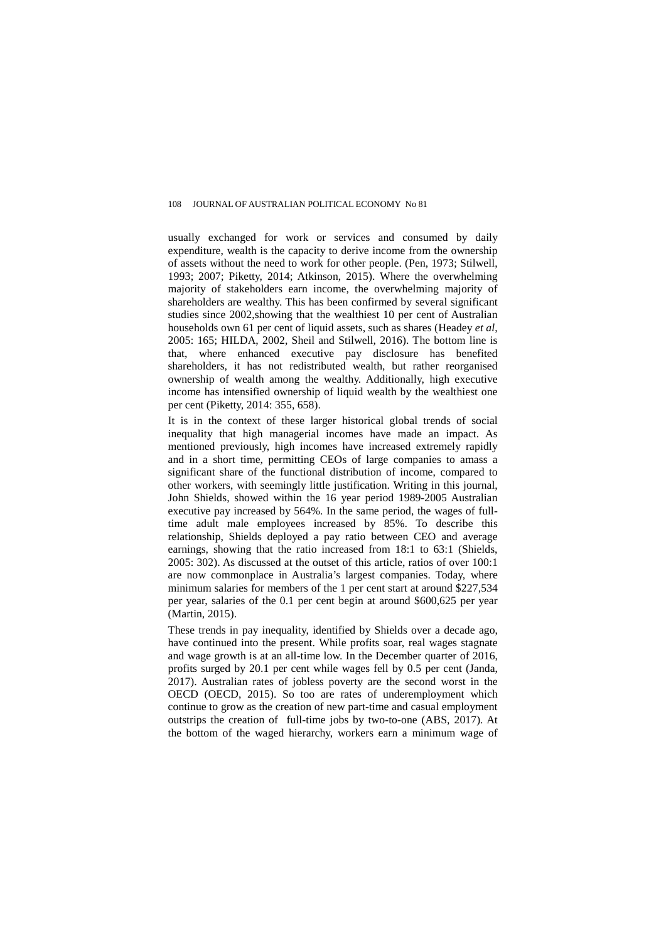usually exchanged for work or services and consumed by daily expenditure, wealth is the capacity to derive income from the ownership of assets without the need to work for other people. (Pen, 1973; Stilwell, 1993; 2007; Piketty, 2014; Atkinson, 2015). Where the overwhelming majority of stakeholders earn income, the overwhelming majority of shareholders are wealthy. This has been confirmed by several significant studies since 2002,showing that the wealthiest 10 per cent of Australian households own 61 per cent of liquid assets, such as shares (Headey *et al*, 2005: 165; HILDA, 2002, Sheil and Stilwell, 2016). The bottom line is that, where enhanced executive pay disclosure has benefited shareholders, it has not redistributed wealth, but rather reorganised ownership of wealth among the wealthy. Additionally, high executive income has intensified ownership of liquid wealth by the wealthiest one per cent (Piketty, 2014: 355, 658).

It is in the context of these larger historical global trends of social inequality that high managerial incomes have made an impact. As mentioned previously, high incomes have increased extremely rapidly and in a short time, permitting CEOs of large companies to amass a significant share of the functional distribution of income, compared to other workers, with seemingly little justification. Writing in this journal, John Shields, showed within the 16 year period 1989-2005 Australian executive pay increased by 564%. In the same period, the wages of fulltime adult male employees increased by 85%. To describe this relationship, Shields deployed a pay ratio between CEO and average earnings, showing that the ratio increased from 18:1 to 63:1 (Shields, 2005: 302). As discussed at the outset of this article, ratios of over 100:1 are now commonplace in Australia's largest companies. Today, where minimum salaries for members of the 1 per cent start at around \$227,534 per year, salaries of the 0.1 per cent begin at around \$600,625 per year (Martin, 2015).

These trends in pay inequality, identified by Shields over a decade ago, have continued into the present. While profits soar, real wages stagnate and wage growth is at an all-time low. In the December quarter of 2016, profits surged by 20.1 per cent while wages fell by 0.5 per cent (Janda, 2017). Australian rates of jobless poverty are the second worst in the OECD (OECD, 2015). So too are rates of underemployment which continue to grow as the creation of new part-time and casual employment outstrips the creation of full-time jobs by two-to-one (ABS, 2017). At the bottom of the waged hierarchy, workers earn a minimum wage of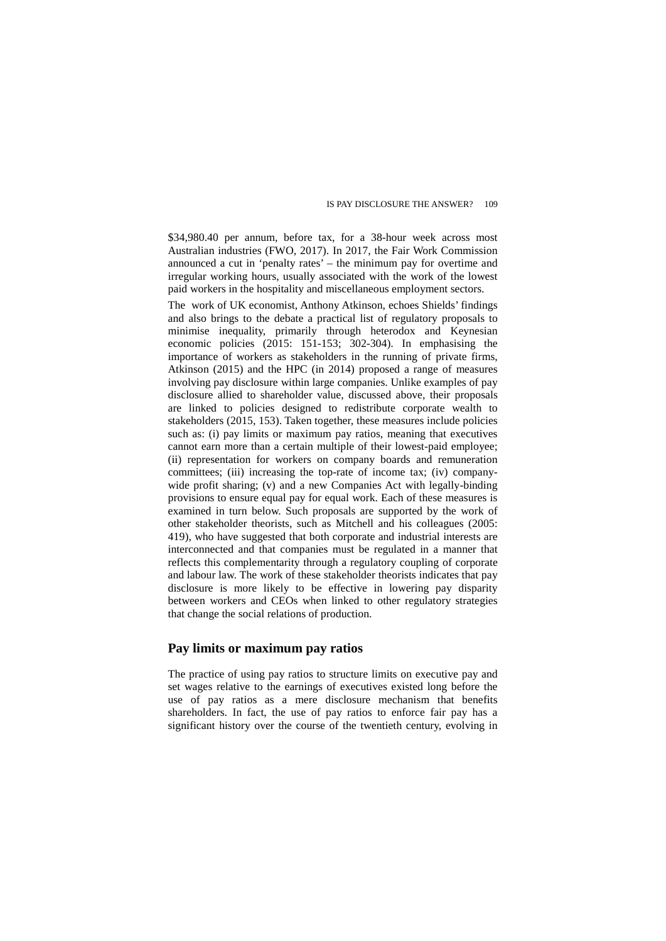\$34,980.40 per annum, before tax, for a 38-hour week across most Australian industries (FWO, 2017). In 2017, the Fair Work Commission announced a cut in 'penalty rates' – the minimum pay for overtime and irregular working hours, usually associated with the work of the lowest paid workers in the hospitality and miscellaneous employment sectors.

The work of UK economist, Anthony Atkinson, echoes Shields' findings and also brings to the debate a practical list of regulatory proposals to minimise inequality, primarily through heterodox and Keynesian economic policies (2015: 151-153; 302-304). In emphasising the importance of workers as stakeholders in the running of private firms, Atkinson (2015) and the HPC (in 2014) proposed a range of measures involving pay disclosure within large companies. Unlike examples of pay disclosure allied to shareholder value, discussed above, their proposals are linked to policies designed to redistribute corporate wealth to stakeholders (2015, 153). Taken together, these measures include policies such as: (i) pay limits or maximum pay ratios, meaning that executives cannot earn more than a certain multiple of their lowest-paid employee; (ii) representation for workers on company boards and remuneration committees; (iii) increasing the top-rate of income tax; (iv) companywide profit sharing; (v) and a new Companies Act with legally-binding provisions to ensure equal pay for equal work. Each of these measures is examined in turn below. Such proposals are supported by the work of other stakeholder theorists, such as Mitchell and his colleagues (2005: 419), who have suggested that both corporate and industrial interests are interconnected and that companies must be regulated in a manner that reflects this complementarity through a regulatory coupling of corporate and labour law. The work of these stakeholder theorists indicates that pay disclosure is more likely to be effective in lowering pay disparity between workers and CEOs when linked to other regulatory strategies that change the social relations of production.

### **Pay limits or maximum pay ratios**

The practice of using pay ratios to structure limits on executive pay and set wages relative to the earnings of executives existed long before the use of pay ratios as a mere disclosure mechanism that benefits shareholders. In fact, the use of pay ratios to enforce fair pay has a significant history over the course of the twentieth century, evolving in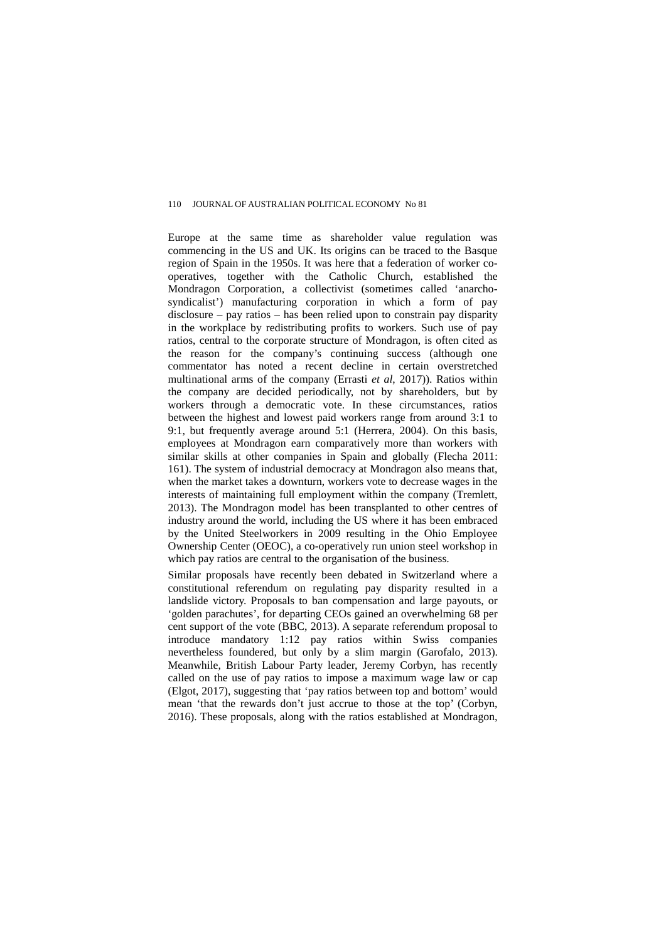Europe at the same time as shareholder value regulation was commencing in the US and UK. Its origins can be traced to the Basque region of Spain in the 1950s. It was here that a federation of worker cooperatives, together with the Catholic Church, established the Mondragon Corporation, a collectivist (sometimes called 'anarchosyndicalist') manufacturing corporation in which a form of pay disclosure – pay ratios – has been relied upon to constrain pay disparity in the workplace by redistributing profits to workers. Such use of pay ratios, central to the corporate structure of Mondragon, is often cited as the reason for the company's continuing success (although one commentator has noted a recent decline in certain overstretched multinational arms of the company (Errasti *et al*, 2017)). Ratios within the company are decided periodically, not by shareholders, but by workers through a democratic vote. In these circumstances, ratios between the highest and lowest paid workers range from around 3:1 to 9:1, but frequently average around 5:1 (Herrera, 2004). On this basis, employees at Mondragon earn comparatively more than workers with similar skills at other companies in Spain and globally (Flecha 2011: 161). The system of industrial democracy at Mondragon also means that, when the market takes a downturn, workers vote to decrease wages in the interests of maintaining full employment within the company (Tremlett, 2013). The Mondragon model has been transplanted to other centres of industry around the world, including the US where it has been embraced by the United Steelworkers in 2009 resulting in the Ohio Employee Ownership Center (OEOC), a co-operatively run union steel workshop in which pay ratios are central to the organisation of the business.

Similar proposals have recently been debated in Switzerland where a constitutional referendum on regulating pay disparity resulted in a landslide victory. Proposals to ban compensation and large payouts, or 'golden parachutes', for departing CEOs gained an overwhelming 68 per cent support of the vote (BBC, 2013). A separate referendum proposal to introduce mandatory 1:12 pay ratios within Swiss companies nevertheless foundered, but only by a slim margin (Garofalo, 2013). Meanwhile, British Labour Party leader, Jeremy Corbyn, has recently called on the use of pay ratios to impose a maximum wage law or cap (Elgot, 2017), suggesting that 'pay ratios between top and bottom' would mean 'that the rewards don't just accrue to those at the top' (Corbyn, 2016). These proposals, along with the ratios established at Mondragon,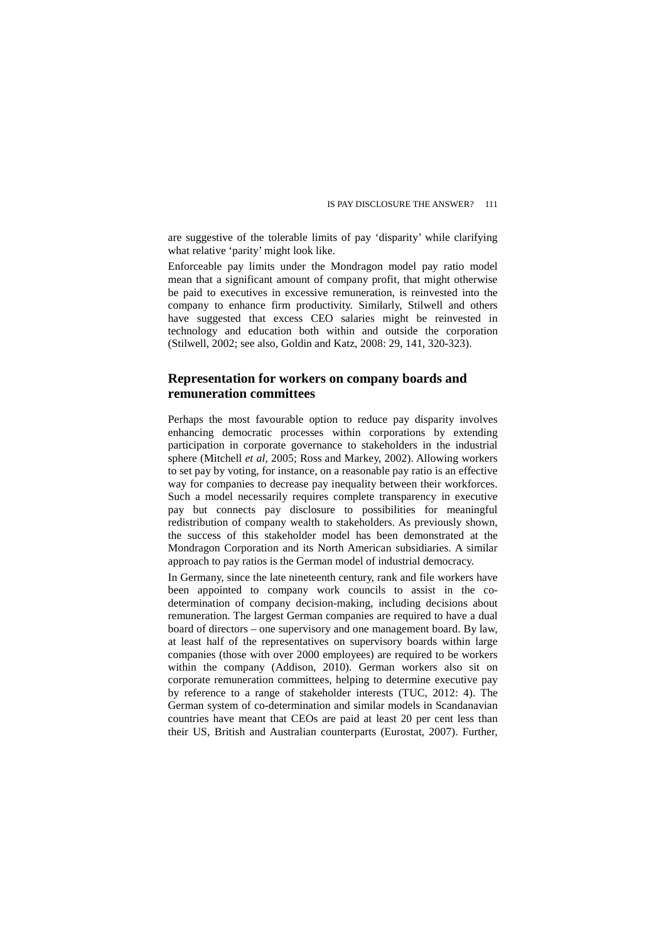are suggestive of the tolerable limits of pay 'disparity' while clarifying what relative 'parity' might look like.

Enforceable pay limits under the Mondragon model pay ratio model mean that a significant amount of company profit, that might otherwise be paid to executives in excessive remuneration, is reinvested into the company to enhance firm productivity. Similarly, Stilwell and others have suggested that excess CEO salaries might be reinvested in technology and education both within and outside the corporation (Stilwell, 2002; see also, Goldin and Katz, 2008: 29, 141, 320-323).

## **Representation for workers on company boards and remuneration committees**

Perhaps the most favourable option to reduce pay disparity involves enhancing democratic processes within corporations by extending participation in corporate governance to stakeholders in the industrial sphere (Mitchell *et al*, 2005; Ross and Markey, 2002). Allowing workers to set pay by voting, for instance, on a reasonable pay ratio is an effective way for companies to decrease pay inequality between their workforces. Such a model necessarily requires complete transparency in executive pay but connects pay disclosure to possibilities for meaningful redistribution of company wealth to stakeholders. As previously shown, the success of this stakeholder model has been demonstrated at the Mondragon Corporation and its North American subsidiaries. A similar approach to pay ratios is the German model of industrial democracy.

In Germany, since the late nineteenth century, rank and file workers have been appointed to company work councils to assist in the codetermination of company decision-making, including decisions about remuneration. The largest German companies are required to have a dual board of directors – one supervisory and one management board. By law, at least half of the representatives on supervisory boards within large companies (those with over 2000 employees) are required to be workers within the company (Addison, 2010). German workers also sit on corporate remuneration committees, helping to determine executive pay by reference to a range of stakeholder interests (TUC, 2012: 4). The German system of co-determination and similar models in Scandanavian countries have meant that CEOs are paid at least 20 per cent less than their US, British and Australian counterparts (Eurostat, 2007). Further,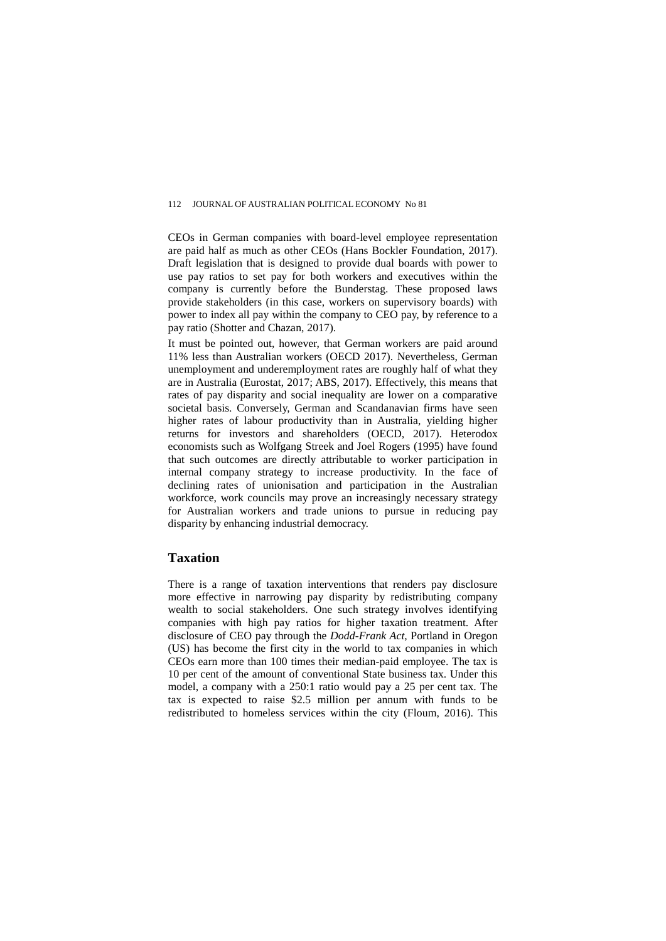CEOs in German companies with board-level employee representation are paid half as much as other CEOs (Hans Bockler Foundation, 2017). Draft legislation that is designed to provide dual boards with power to use pay ratios to set pay for both workers and executives within the company is currently before the Bunderstag. These proposed laws provide stakeholders (in this case, workers on supervisory boards) with power to index all pay within the company to CEO pay, by reference to a pay ratio (Shotter and Chazan, 2017).

It must be pointed out, however, that German workers are paid around 11% less than Australian workers (OECD 2017). Nevertheless, German unemployment and underemployment rates are roughly half of what they are in Australia (Eurostat, 2017; ABS, 2017). Effectively, this means that rates of pay disparity and social inequality are lower on a comparative societal basis. Conversely, German and Scandanavian firms have seen higher rates of labour productivity than in Australia, yielding higher returns for investors and shareholders (OECD, 2017). Heterodox economists such as Wolfgang Streek and Joel Rogers (1995) have found that such outcomes are directly attributable to worker participation in internal company strategy to increase productivity. In the face of declining rates of unionisation and participation in the Australian workforce, work councils may prove an increasingly necessary strategy for Australian workers and trade unions to pursue in reducing pay disparity by enhancing industrial democracy.

### **Taxation**

There is a range of taxation interventions that renders pay disclosure more effective in narrowing pay disparity by redistributing company wealth to social stakeholders. One such strategy involves identifying companies with high pay ratios for higher taxation treatment. After disclosure of CEO pay through the *Dodd-Frank Act*, Portland in Oregon (US) has become the first city in the world to tax companies in which CEOs earn more than 100 times their median-paid employee. The tax is 10 per cent of the amount of conventional State business tax. Under this model, a company with a 250:1 ratio would pay a 25 per cent tax. The tax is expected to raise \$2.5 million per annum with funds to be redistributed to homeless services within the city (Floum, 2016). This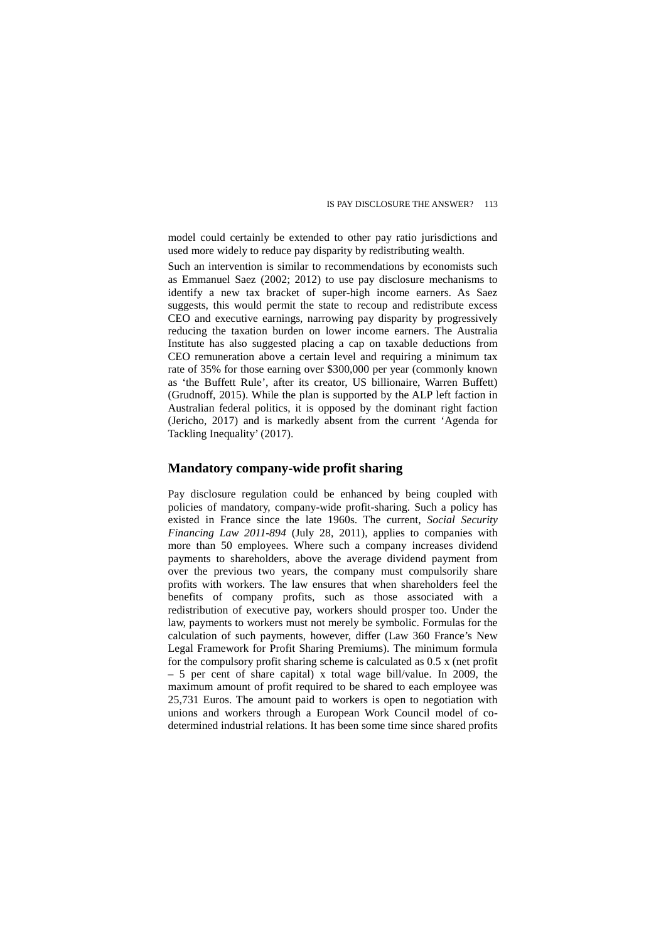model could certainly be extended to other pay ratio jurisdictions and used more widely to reduce pay disparity by redistributing wealth.

Such an intervention is similar to recommendations by economists such as Emmanuel Saez (2002; 2012) to use pay disclosure mechanisms to identify a new tax bracket of super-high income earners. As Saez suggests, this would permit the state to recoup and redistribute excess CEO and executive earnings, narrowing pay disparity by progressively reducing the taxation burden on lower income earners. The Australia Institute has also suggested placing a cap on taxable deductions from CEO remuneration above a certain level and requiring a minimum tax rate of 35% for those earning over \$300,000 per year (commonly known as 'the Buffett Rule', after its creator, US billionaire, Warren Buffett) (Grudnoff, 2015). While the plan is supported by the ALP left faction in Australian federal politics, it is opposed by the dominant right faction (Jericho, 2017) and is markedly absent from the current 'Agenda for Tackling Inequality' (2017).

### **Mandatory company-wide profit sharing**

Pay disclosure regulation could be enhanced by being coupled with policies of mandatory, company-wide profit-sharing. Such a policy has existed in France since the late 1960s. The current, *Social Security Financing Law 2011-894* (July 28, 2011), applies to companies with more than 50 employees. Where such a company increases dividend payments to shareholders, above the average dividend payment from over the previous two years, the company must compulsorily share profits with workers. The law ensures that when shareholders feel the benefits of company profits, such as those associated with a redistribution of executive pay, workers should prosper too. Under the law, payments to workers must not merely be symbolic. Formulas for the calculation of such payments, however, differ (Law 360 France's New Legal Framework for Profit Sharing Premiums). The minimum formula for the compulsory profit sharing scheme is calculated as 0.5 x (net profit – 5 per cent of share capital) x total wage bill/value. In 2009, the maximum amount of profit required to be shared to each employee was 25,731 Euros. The amount paid to workers is open to negotiation with unions and workers through a European Work Council model of codetermined industrial relations. It has been some time since shared profits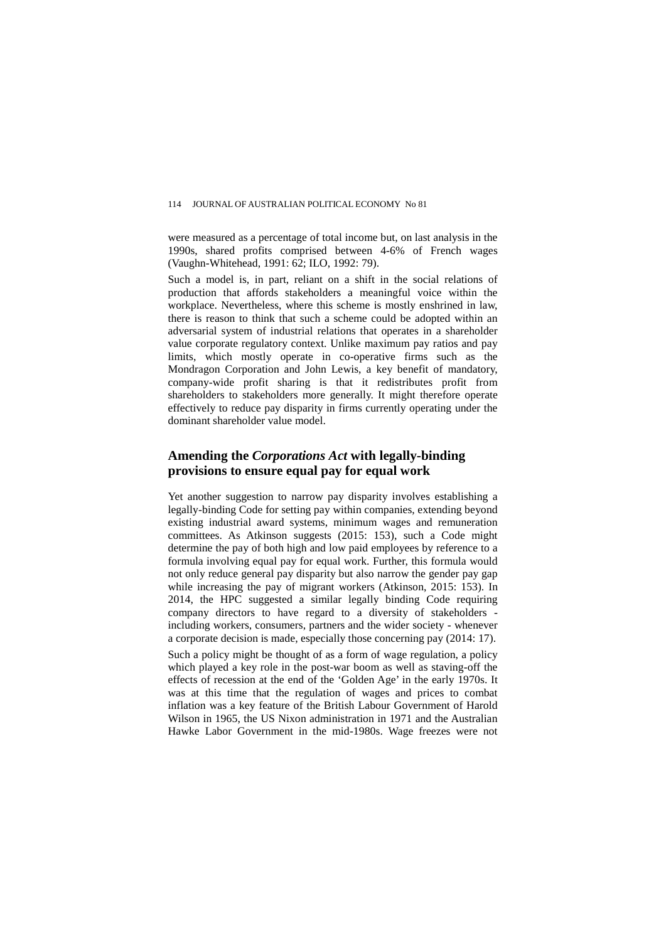were measured as a percentage of total income but, on last analysis in the 1990s, shared profits comprised between 4-6% of French wages (Vaughn-Whitehead, 1991: 62; ILO, 1992: 79).

Such a model is, in part, reliant on a shift in the social relations of production that affords stakeholders a meaningful voice within the workplace. Nevertheless, where this scheme is mostly enshrined in law, there is reason to think that such a scheme could be adopted within an adversarial system of industrial relations that operates in a shareholder value corporate regulatory context. Unlike maximum pay ratios and pay limits, which mostly operate in co-operative firms such as the Mondragon Corporation and John Lewis, a key benefit of mandatory, company-wide profit sharing is that it redistributes profit from shareholders to stakeholders more generally. It might therefore operate effectively to reduce pay disparity in firms currently operating under the dominant shareholder value model.

## **Amending the** *Corporations Act* **with legally-binding provisions to ensure equal pay for equal work**

Yet another suggestion to narrow pay disparity involves establishing a legally-binding Code for setting pay within companies, extending beyond existing industrial award systems, minimum wages and remuneration committees. As Atkinson suggests (2015: 153), such a Code might determine the pay of both high and low paid employees by reference to a formula involving equal pay for equal work. Further, this formula would not only reduce general pay disparity but also narrow the gender pay gap while increasing the pay of migrant workers (Atkinson, 2015: 153). In 2014, the HPC suggested a similar legally binding Code requiring company directors to have regard to a diversity of stakeholders including workers, consumers, partners and the wider society - whenever a corporate decision is made, especially those concerning pay (2014: 17).

Such a policy might be thought of as a form of wage regulation, a policy which played a key role in the post-war boom as well as staving-off the effects of recession at the end of the 'Golden Age' in the early 1970s. It was at this time that the regulation of wages and prices to combat inflation was a key feature of the British Labour Government of Harold Wilson in 1965, the US Nixon administration in 1971 and the Australian Hawke Labor Government in the mid-1980s. Wage freezes were not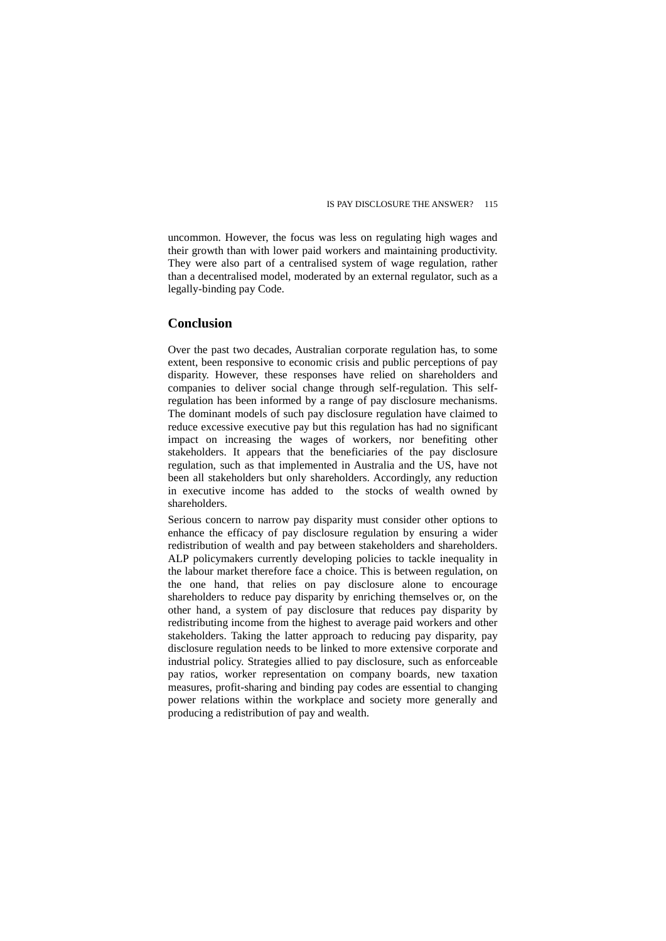uncommon. However, the focus was less on regulating high wages and their growth than with lower paid workers and maintaining productivity. They were also part of a centralised system of wage regulation, rather than a decentralised model, moderated by an external regulator, such as a legally-binding pay Code.

### **Conclusion**

Over the past two decades, Australian corporate regulation has, to some extent, been responsive to economic crisis and public perceptions of pay disparity. However, these responses have relied on shareholders and companies to deliver social change through self-regulation. This selfregulation has been informed by a range of pay disclosure mechanisms. The dominant models of such pay disclosure regulation have claimed to reduce excessive executive pay but this regulation has had no significant impact on increasing the wages of workers, nor benefiting other stakeholders. It appears that the beneficiaries of the pay disclosure regulation, such as that implemented in Australia and the US, have not been all stakeholders but only shareholders. Accordingly, any reduction in executive income has added to the stocks of wealth owned by shareholders.

Serious concern to narrow pay disparity must consider other options to enhance the efficacy of pay disclosure regulation by ensuring a wider redistribution of wealth and pay between stakeholders and shareholders. ALP policymakers currently developing policies to tackle inequality in the labour market therefore face a choice. This is between regulation, on the one hand, that relies on pay disclosure alone to encourage shareholders to reduce pay disparity by enriching themselves or, on the other hand, a system of pay disclosure that reduces pay disparity by redistributing income from the highest to average paid workers and other stakeholders. Taking the latter approach to reducing pay disparity, pay disclosure regulation needs to be linked to more extensive corporate and industrial policy. Strategies allied to pay disclosure, such as enforceable pay ratios, worker representation on company boards, new taxation measures, profit-sharing and binding pay codes are essential to changing power relations within the workplace and society more generally and producing a redistribution of pay and wealth.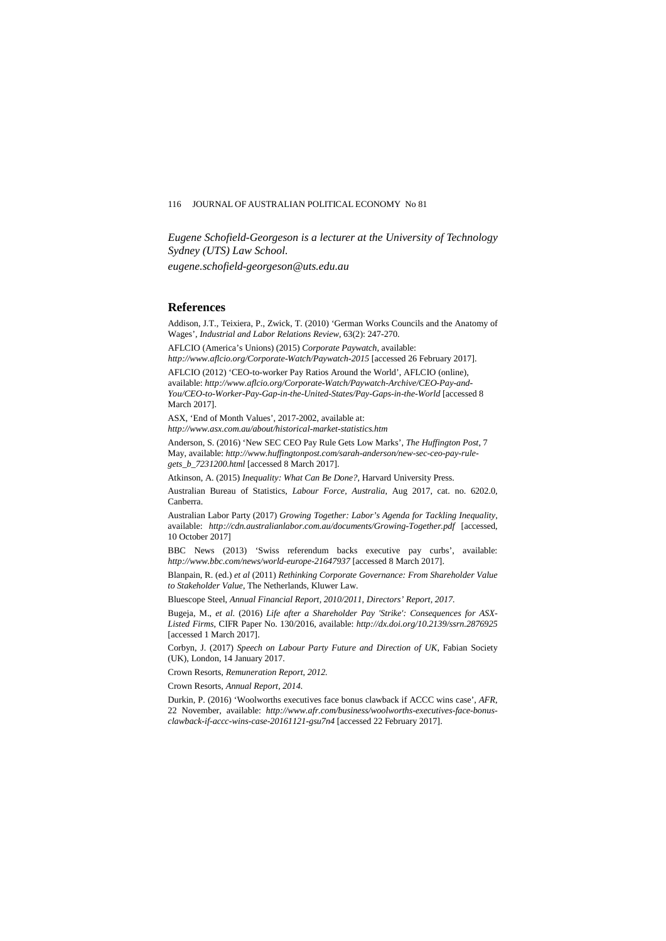*Eugene Schofield-Georgeson is a lecturer at the University of Technology Sydney (UTS) Law School.* 

*eugene.schofield-georgeson@uts.edu.au*

### **References**

Addison, J.T., Teixiera, P., Zwick, T. (2010) 'German Works Councils and the Anatomy of Wages', *Industrial and Labor Relations Review,* 63(2): 247-270.

AFLCIO (America's Unions) (2015) *Corporate Paywatch*, available: *http://www.aflcio.org/Corporate-Watch/Paywatch-2015* [accessed 26 February 2017].

AFLCIO (2012) 'CEO-to-worker Pay Ratios Around the World', AFLCIO (online), available: *http://www.aflcio.org/Corporate-Watch/Paywatch-Archive/CEO-Pay-and-You/CEO-to-Worker-Pay-Gap-in-the-United-States/Pay-Gaps-in-the-World* [accessed 8 March 2017].

ASX, 'End of Month Values', 2017-2002, available at: *http://www.asx.com.au/about/historical-market-statistics.htm*

Anderson, S. (2016) 'New SEC CEO Pay Rule Gets Low Marks', *The Huffington Post*, 7 May, available: *http://www.huffingtonpost.com/sarah-anderson/new-sec-ceo-pay-rulegets\_b\_7231200.html* [accessed 8 March 2017].

Atkinson, A. (2015) *Inequality: What Can Be Done?*, Harvard University Press.

Australian Bureau of Statistics, *Labour Force, Australia*, Aug 2017, cat. no. 6202.0, Canberra.

Australian Labor Party (2017) *Growing Together: Labor's Agenda for Tackling Inequality*, available: *http://cdn.australianlabor.com.au/documents/Growing-Together.pdf* [accessed, 10 October 2017]

BBC News (2013) 'Swiss referendum backs executive pay curbs', available: *http://www.bbc.com/news/world-europe-21647937* [accessed 8 March 2017].

Blanpain, R. (ed.) *et al* (2011) *Rethinking Corporate Governance: From Shareholder Value to Stakeholder Value*, The Netherlands, Kluwer Law.

Bluescope Steel, *Annual Financial Report, 2010/2011, Directors' Report, 2017.*

Bugeja, M., *et al*. (2016) *Life after a Shareholder Pay 'Strike': Consequences for ASX-Listed Firms*, CIFR Paper No. 130/2016, available: *http://dx.doi.org/10.2139/ssrn.2876925* [accessed 1 March 2017].

Corbyn, J. (2017) *Speech on Labour Party Future and Direction of UK*, Fabian Society (UK), London, 14 January 2017.

Crown Resorts, *Remuneration Report, 2012.*

Crown Resorts, *Annual Report, 2014.*

Durkin, P. (2016) 'Woolworths executives face bonus clawback if ACCC wins case', *AFR*, 22 November, available: *http://www.afr.com/business/woolworths-executives-face-bonusclawback-if-accc-wins-case-20161121-gsu7n4* [accessed 22 February 2017].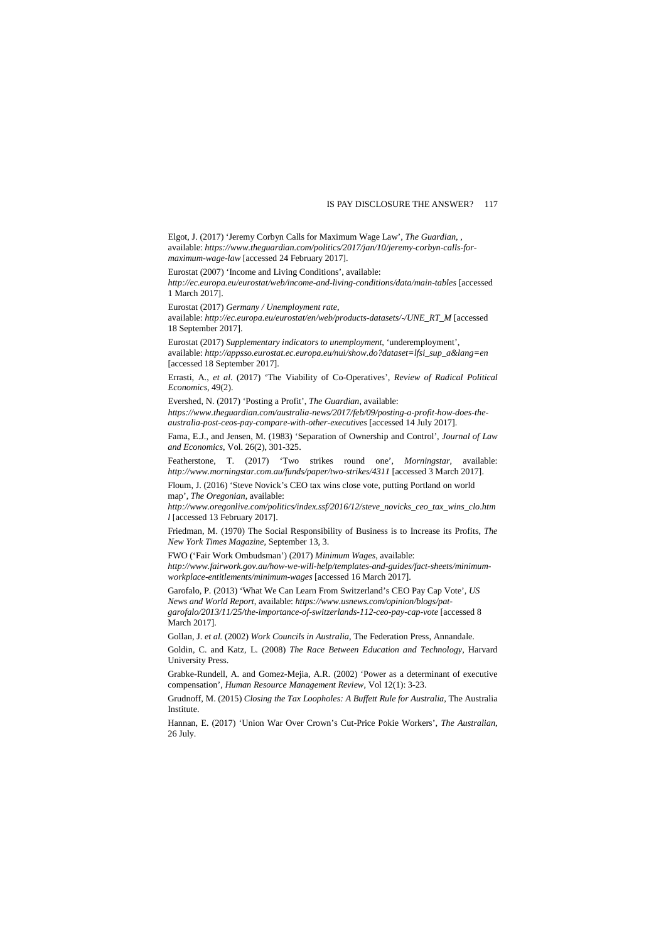Elgot, J. (2017) 'Jeremy Corbyn Calls for Maximum Wage Law', *The Guardian*, , available: *https://www.theguardian.com/politics/2017/jan/10/jeremy-corbyn-calls-formaximum-wage-law* [accessed 24 February 2017].

Eurostat (2007) 'Income and Living Conditions', available: *http://ec.europa.eu/eurostat/web/income-and-living-conditions/data/main-tables* [accessed 1 March 2017].

Eurostat (2017) *Germany / Unemployment rate*,

available: *http://ec.europa.eu/eurostat/en/web/products-datasets/-/UNE\_RT\_M* [accessed 18 September 2017].

Eurostat (2017) *Supplementary indicators to unemployment,* 'underemployment', available: *http://appsso.eurostat.ec.europa.eu/nui/show.do?dataset=lfsi\_sup\_a&lang=en* [accessed 18 September 2017].

Errasti, A., *et al*. (2017) 'The Viability of Co-Operatives', *Review of Radical Political Economics*, 49(2).

Evershed, N. (2017) 'Posting a Profit', *The Guardian*, available: *https://www.theguardian.com/australia-news/2017/feb/09/posting-a-profit-how-does-theaustralia-post-ceos-pay-compare-with-other-executives* [accessed 14 July 2017].

Fama, E.J., and Jensen, M. (1983) 'Separation of Ownership and Control', *Journal of Law and Economics*, Vol. 26(2), 301-325.

Featherstone, T. (2017) 'Two strikes round one', *Morningstar*, available: *http://www.morningstar.com.au/funds/paper/two-strikes/4311* [accessed 3 March 2017].

Floum, J. (2016) 'Steve Novick's CEO tax wins close vote, putting Portland on world map', *The Oregonian*, available:

*http://www.oregonlive.com/politics/index.ssf/2016/12/steve\_novicks\_ceo\_tax\_wins\_clo.htm l* [accessed 13 February 2017].

Friedman, M. (1970) The Social Responsibility of Business is to Increase its Profits, *The New York Times Magazine*, September 13, 3.

FWO ('Fair Work Ombudsman') (2017) *Minimum Wages*, available:

*http://www.fairwork.gov.au/how-we-will-help/templates-and-guides/fact-sheets/minimumworkplace-entitlements/minimum-wages* [accessed 16 March 2017].

Garofalo, P. (2013) 'What We Can Learn From Switzerland's CEO Pay Cap Vote', *US News and World Report*, available: *https://www.usnews.com/opinion/blogs/pat-*

*garofalo/2013/11/25/the-importance-of-switzerlands-112-ceo-pay-cap-vote* [accessed 8 March 2017].

Gollan, J. *et al.* (2002) *Work Councils in Australia*, The Federation Press, Annandale.

Goldin, C. and Katz, L. (2008) *The Race Between Education and Technology*, Harvard University Press.

Grabke-Rundell, A. and Gomez-Mejia, A.R. (2002) 'Power as a determinant of executive compensation', *Human Resource Management Review*, Vol 12(1): 3-23.

Grudnoff, M. (2015) *Closing the Tax Loopholes: A Buffett Rule for Australia*, The Australia Institute.

Hannan, E. (2017) 'Union War Over Crown's Cut-Price Pokie Workers'*, The Australian*, 26 July.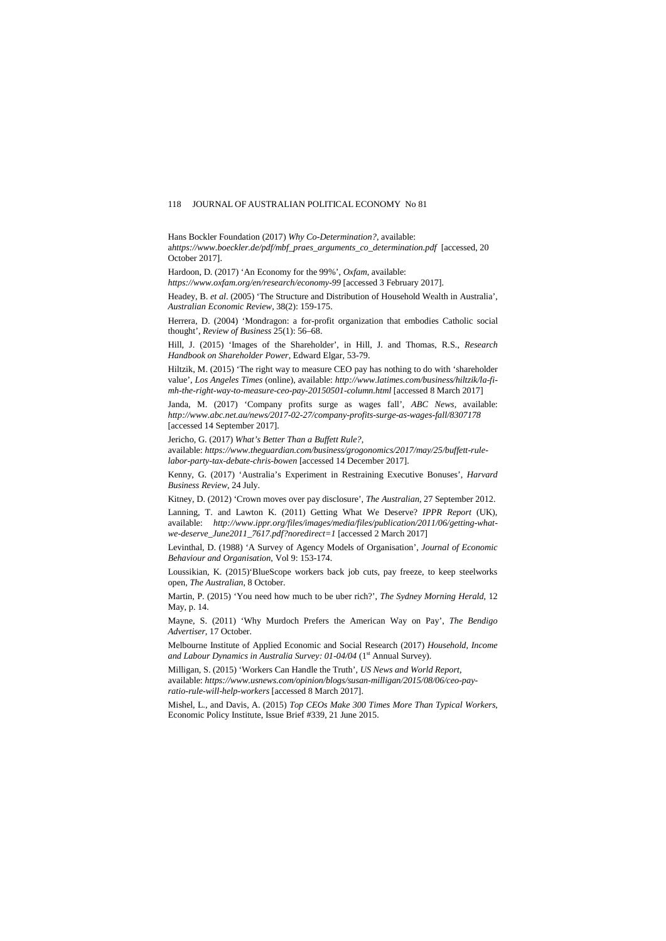Hans Bockler Foundation (2017) *Why Co-Determination?,* available: a*https://www.boeckler.de/pdf/mbf\_praes\_arguments\_co\_determination.pdf* [accessed, 20 October 2017].

Hardoon, D. (2017) 'An Economy for the 99%', *Oxfam*, available:

*https://www.oxfam.org/en/research/economy-99* [accessed 3 February 2017].

Headey, B. *et al*. (2005) 'The Structure and Distribution of Household Wealth in Australia', *Australian Economic Review*, 38(2): 159-175.

Herrera, D. (2004) 'Mondragon: a for-profit organization that embodies Catholic social thought', *Review of Business* 25(1): 56–68.

Hill, J. (2015) 'Images of the Shareholder', in Hill, J. and Thomas, R.S., *Research Handbook on Shareholder Power*, Edward Elgar, 53-79.

Hiltzik, M. (2015) 'The right way to measure CEO pay has nothing to do with 'shareholder value', *Los Angeles Times* (online), available: *http://www.latimes.com/business/hiltzik/la-fimh-the-right-way-to-measure-ceo-pay-20150501-column.html* [accessed 8 March 2017]

Janda, M. (2017) 'Company profits surge as wages fall', *ABC News*, available: *http://www.abc.net.au/news/2017-02-27/company-profits-surge-as-wages-fall/8307178* [accessed 14 September 2017].

Jericho, G. (2017) *What's Better Than a Buffett Rule?,* 

available: *https://www.theguardian.com/business/grogonomics/2017/may/25/buffett-rulelabor-party-tax-debate-chris-bowen* [accessed 14 December 2017].

Kenny, G. (2017) 'Australia's Experiment in Restraining Executive Bonuses', *Harvard Business Review*, 24 July.

Kitney, D. (2012) 'Crown moves over pay disclosure', *The Australian*, 27 September 2012.

Lanning, T. and Lawton K. (2011) Getting What We Deserve? *IPPR Report* (UK), available: *http://www.ippr.org/files/images/media/files/publication/2011/06/getting-whatwe-deserve\_June2011\_7617.pdf?noredirect=1* [accessed 2 March 2017]

Levinthal, D. (1988) 'A Survey of Agency Models of Organisation', *Journal of Economic Behaviour and Organisation*, Vol 9: 153-174.

Loussikian, K. (2015)'BlueScope workers back job cuts, pay freeze, to keep steelworks open, *The Australian*, 8 October.

Martin, P. (2015) 'You need how much to be uber rich?', *The Sydney Morning Herald*, 12 May, p. 14.

Mayne, S. (2011) 'Why Murdoch Prefers the American Way on Pay', *The Bendigo Advertiser*, 17 October.

Melbourne Institute of Applied Economic and Social Research (2017) *Household, Income*  and Labour Dynamics in Australia Survey: 01-04/04 (1<sup>st</sup> Annual Survey).

Milligan, S. (2015) 'Workers Can Handle the Truth', *US News and World Report*, available: *https://www.usnews.com/opinion/blogs/susan-milligan/2015/08/06/ceo-payratio-rule-will-help-workers* [accessed 8 March 2017].

Mishel, L., and Davis, A. (2015) *Top CEOs Make 300 Times More Than Typical Workers,*  Economic Policy Institute, Issue Brief #339, 21 June 2015.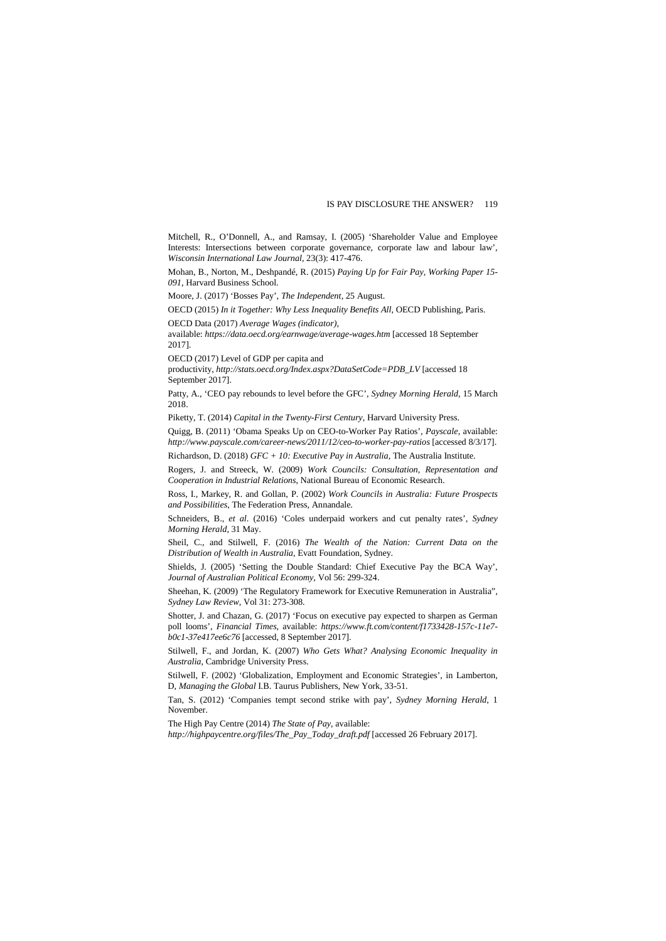Mitchell, R., O'Donnell, A., and Ramsay, I. (2005) 'Shareholder Value and Employee Interests: Intersections between corporate governance, corporate law and labour law', *Wisconsin International Law Journal*, 23(3): 417-476.

Mohan, B., Norton, M., Deshpandé, R. (2015) *Paying Up for Fair Pay, Working Paper 15- 091,* Harvard Business School.

Moore, J. (2017) 'Bosses Pay', *The Independent*, 25 August.

OECD (2015) *In it Together: Why Less Inequality Benefits All*, OECD Publishing, Paris. OECD Data (2017) *Average Wages (indicator),* 

available: *https://data.oecd.org/earnwage/average-wages.htm* [accessed 18 September 2017].

OECD (2017) Level of GDP per capita and

productivity, *http://stats.oecd.org/Index.aspx?DataSetCode=PDB\_LV* [accessed 18 September 2017].

Patty, A., 'CEO pay rebounds to level before the GFC', *Sydney Morning Herald*, 15 March 2018.

Piketty, T. (2014) *Capital in the Twenty-First Century*, Harvard University Press.

Quigg, B. (2011) 'Obama Speaks Up on CEO-to-Worker Pay Ratios', *Payscale*, available: *http://www.payscale.com/career-news/2011/12/ceo-to-worker-pay-ratios* [accessed 8/3/17].

Richardson, D. (2018) *GFC + 10: Executive Pay in Australia*, The Australia Institute.

Rogers, J. and Streeck, W. (2009) *Work Councils: Consultation, Representation and Cooperation in Industrial Relations*, National Bureau of Economic Research.

Ross, I., Markey, R. and Gollan, P. (2002) *Work Councils in Australia: Future Prospects and Possibilities*, The Federation Press, Annandale.

Schneiders, B., *et al*. (2016) 'Coles underpaid workers and cut penalty rates', *Sydney Morning Herald*, 31 May.

Sheil, C., and Stilwell, F. (2016) *The Wealth of the Nation: Current Data on the Distribution of Wealth in Australia*, Evatt Foundation, Sydney.

Shields, J. (2005) 'Setting the Double Standard: Chief Executive Pay the BCA Way', *Journal of Australian Political Economy*, Vol 56: 299-324.

Sheehan, K. (2009) 'The Regulatory Framework for Executive Remuneration in Australia", *Sydney Law Review*, Vol 31: 273-308.

Shotter, J. and Chazan, G. (2017) 'Focus on executive pay expected to sharpen as German poll looms', *Financial Times*, available: *https://www.ft.com/content/f1733428-157c-11e7 b0c1-37e417ee6c76* [accessed, 8 September 2017].

Stilwell, F., and Jordan, K. (2007) *Who Gets What? Analysing Economic Inequality in Australia*, Cambridge University Press.

Stilwell, F. (2002) 'Globalization, Employment and Economic Strategies', in Lamberton, D, *Managing the Global* I.B. Taurus Publishers, New York, 33-51.

Tan, S. (2012) 'Companies tempt second strike with pay', *Sydney Morning Herald*, 1 November.

The High Pay Centre (2014) *The State of Pay*, available:

*http://highpaycentre.org/files/The\_Pay\_Today\_draft.pdf* [accessed 26 February 2017].